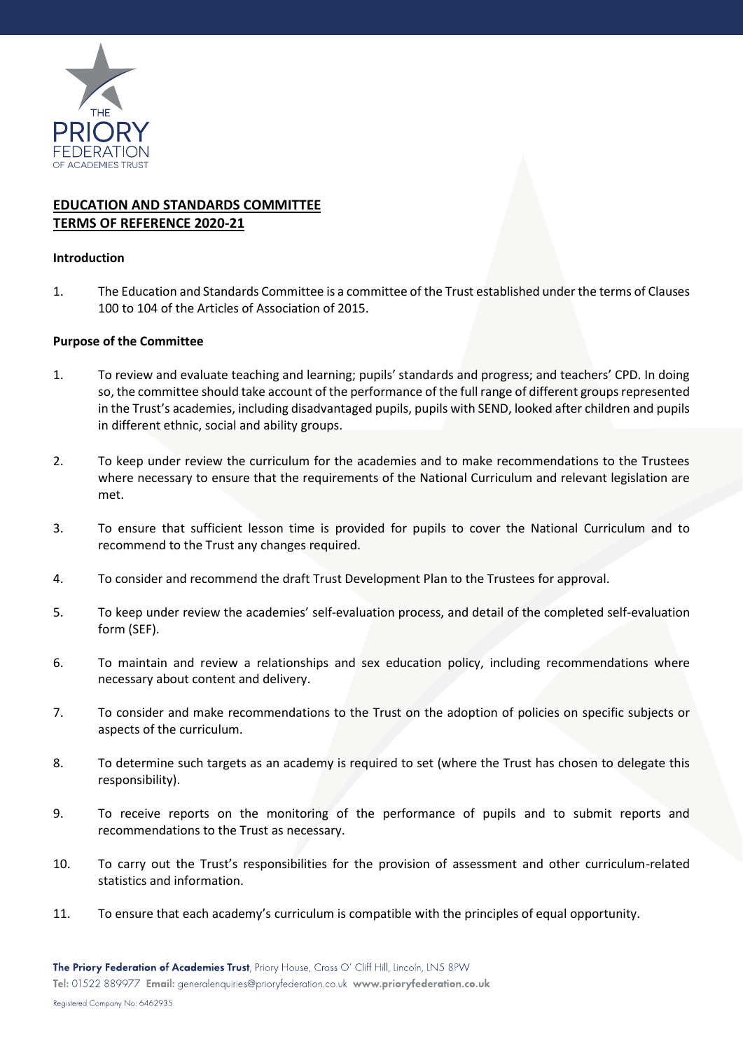

# **EDUCATION AND STANDARDS COMMITTEE TERMS OF REFERENCE 2020-21**

### **Introduction**

1. The Education and Standards Committee is a committee of the Trust established under the terms of Clauses 100 to 104 of the Articles of Association of 2015.

### **Purpose of the Committee**

- 1. To review and evaluate teaching and learning; pupils' standards and progress; and teachers' CPD. In doing so, the committee should take account of the performance of the full range of different groups represented in the Trust's academies, including disadvantaged pupils, pupils with SEND, looked after children and pupils in different ethnic, social and ability groups.
- 2. To keep under review the curriculum for the academies and to make recommendations to the Trustees where necessary to ensure that the requirements of the National Curriculum and relevant legislation are met.
- 3. To ensure that sufficient lesson time is provided for pupils to cover the National Curriculum and to recommend to the Trust any changes required.
- 4. To consider and recommend the draft Trust Development Plan to the Trustees for approval.
- 5. To keep under review the academies' self-evaluation process, and detail of the completed self-evaluation form (SEF).
- 6. To maintain and review a relationships and sex education policy, including recommendations where necessary about content and delivery.
- 7. To consider and make recommendations to the Trust on the adoption of policies on specific subjects or aspects of the curriculum.
- 8. To determine such targets as an academy is required to set (where the Trust has chosen to delegate this responsibility).
- 9. To receive reports on the monitoring of the performance of pupils and to submit reports and recommendations to the Trust as necessary.
- 10. To carry out the Trust's responsibilities for the provision of assessment and other curriculum-related statistics and information.
- 11. To ensure that each academy's curriculum is compatible with the principles of equal opportunity.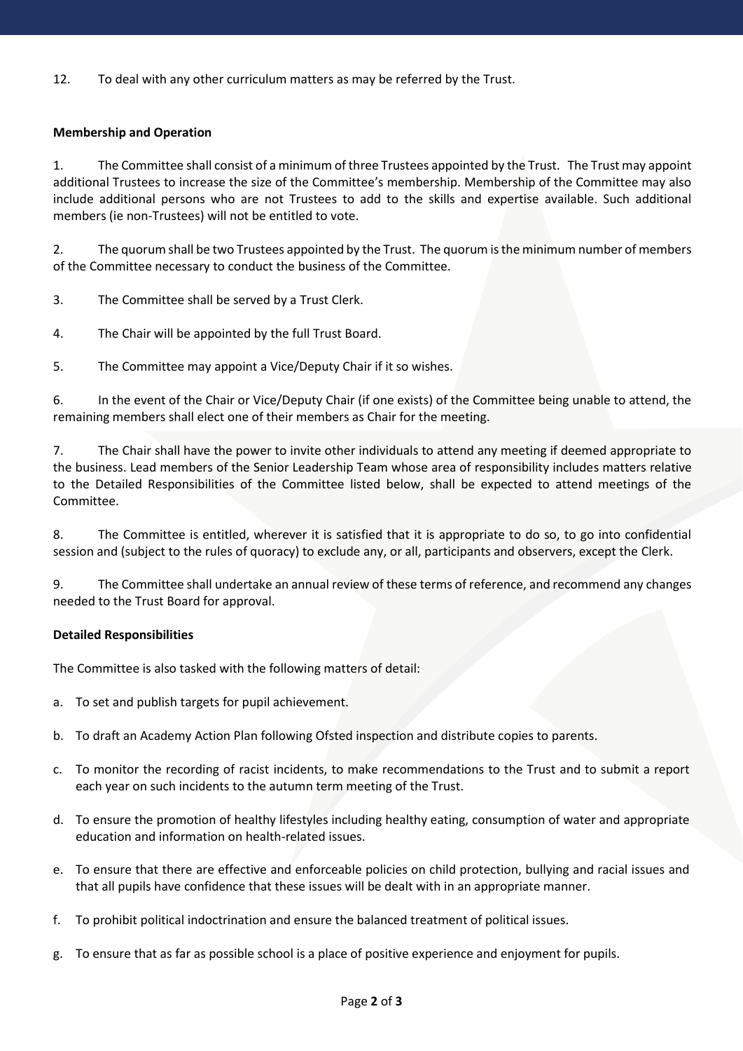12. To deal with any other curriculum matters as may be referred by the Trust.

# **Membership and Operation**

1. The Committee shall consist of a minimum of three Trustees appointed by the Trust. The Trust may appoint additional Trustees to increase the size of the Committee's membership. Membership of the Committee may also include additional persons who are not Trustees to add to the skills and expertise available. Such additional members (ie non-Trustees) will not be entitled to vote.

2. The quorum shall be two Trustees appointed by the Trust. The quorum is the minimum number of members of the Committee necessary to conduct the business of the Committee.

3. The Committee shall be served by a Trust Clerk.

- 4. The Chair will be appointed by the full Trust Board.
- 5. The Committee may appoint a Vice/Deputy Chair if it so wishes.

6. In the event of the Chair or Vice/Deputy Chair (if one exists) of the Committee being unable to attend, the remaining members shall elect one of their members as Chair for the meeting.

7. The Chair shall have the power to invite other individuals to attend any meeting if deemed appropriate to the business. Lead members of the Senior Leadership Team whose area of responsibility includes matters relative to the Detailed Responsibilities of the Committee listed below, shall be expected to attend meetings of the Committee.

8. The Committee is entitled, wherever it is satisfied that it is appropriate to do so, to go into confidential session and (subject to the rules of quoracy) to exclude any, or all, participants and observers, except the Clerk.

9. The Committee shall undertake an annual review of these terms of reference, and recommend any changes needed to the Trust Board for approval.

# **Detailed Responsibilities**

The Committee is also tasked with the following matters of detail:

- a. To set and publish targets for pupil achievement.
- b. To draft an Academy Action Plan following Ofsted inspection and distribute copies to parents.
- c. To monitor the recording of racist incidents, to make recommendations to the Trust and to submit a report each year on such incidents to the autumn term meeting of the Trust.
- d. To ensure the promotion of healthy lifestyles including healthy eating, consumption of water and appropriate education and information on health-related issues.
- e. To ensure that there are effective and enforceable policies on child protection, bullying and racial issues and that all pupils have confidence that these issues will be dealt with in an appropriate manner.
- f. To prohibit political indoctrination and ensure the balanced treatment of political issues.
- g. To ensure that as far as possible school is a place of positive experience and enjoyment for pupils.